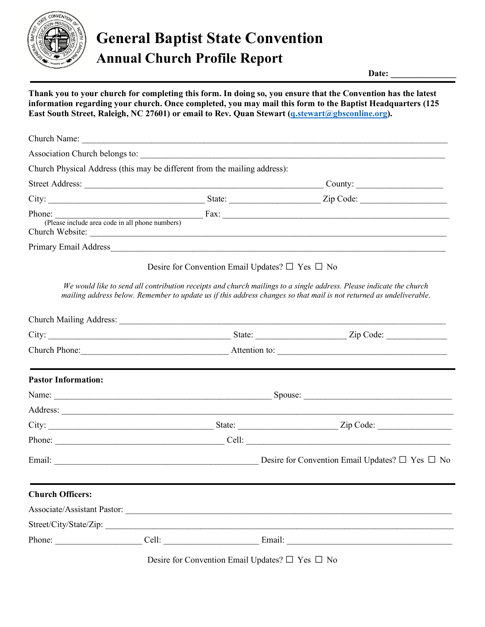

## **General Baptist State Convention Annual Church Profile Report**

Date:

**Thank you to your church for completing this form. In doing so, you ensure that the Convention has the latest information regarding your church. Once completed, you may mail this form to the Baptist Headquarters (125**  East South Street, Raleigh, NC 27601) or email to Rev. Quan Stewart (*q.stewart@gbsconline.org*).

|                            | Church Physical Address (this may be different from the mailing address): |  |                                                                                                                                                                                                                                            |  |  |  |
|----------------------------|---------------------------------------------------------------------------|--|--------------------------------------------------------------------------------------------------------------------------------------------------------------------------------------------------------------------------------------------|--|--|--|
|                            |                                                                           |  |                                                                                                                                                                                                                                            |  |  |  |
|                            |                                                                           |  |                                                                                                                                                                                                                                            |  |  |  |
|                            |                                                                           |  | Phone: (Please include area code in all phone numbers) Fax:                                                                                                                                                                                |  |  |  |
|                            |                                                                           |  | Primary Email Address                                                                                                                                                                                                                      |  |  |  |
|                            |                                                                           |  | Desire for Convention Email Updates? $\Box$ Yes $\Box$ No                                                                                                                                                                                  |  |  |  |
|                            |                                                                           |  | We would like to send all contribution receipts and church mailings to a single address. Please indicate the church<br>mailing address below. Remember to update us if this address changes so that mail is not returned as undeliverable. |  |  |  |
|                            |                                                                           |  |                                                                                                                                                                                                                                            |  |  |  |
|                            |                                                                           |  |                                                                                                                                                                                                                                            |  |  |  |
|                            |                                                                           |  |                                                                                                                                                                                                                                            |  |  |  |
| <b>Pastor Information:</b> |                                                                           |  |                                                                                                                                                                                                                                            |  |  |  |
|                            |                                                                           |  |                                                                                                                                                                                                                                            |  |  |  |
|                            |                                                                           |  |                                                                                                                                                                                                                                            |  |  |  |
|                            |                                                                           |  |                                                                                                                                                                                                                                            |  |  |  |
|                            |                                                                           |  |                                                                                                                                                                                                                                            |  |  |  |
|                            |                                                                           |  |                                                                                                                                                                                                                                            |  |  |  |
| <b>Church Officers:</b>    |                                                                           |  |                                                                                                                                                                                                                                            |  |  |  |
|                            |                                                                           |  |                                                                                                                                                                                                                                            |  |  |  |
|                            | Street/City/State/Zip:                                                    |  |                                                                                                                                                                                                                                            |  |  |  |
|                            |                                                                           |  |                                                                                                                                                                                                                                            |  |  |  |

Desire for Convention Email Updates? □ Yes □ No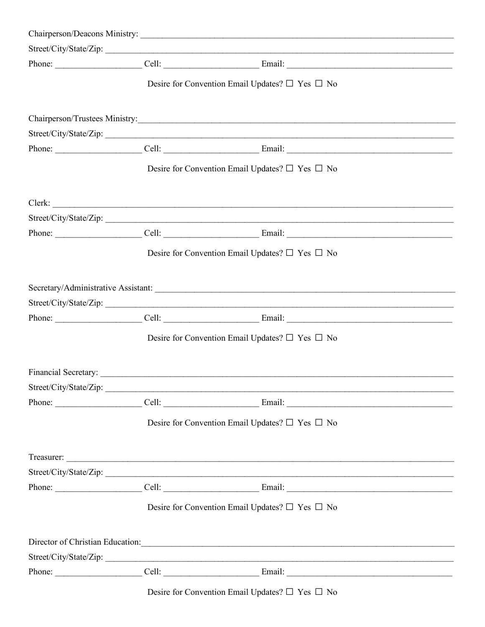|                        |                                                                 | Street/City/State/Zip:                                                                 |  |  |
|------------------------|-----------------------------------------------------------------|----------------------------------------------------------------------------------------|--|--|
|                        |                                                                 |                                                                                        |  |  |
|                        | Desire for Convention Email Updates? $\square$ Yes $\square$ No |                                                                                        |  |  |
|                        |                                                                 |                                                                                        |  |  |
|                        |                                                                 | Street/City/State/Zip:                                                                 |  |  |
|                        |                                                                 |                                                                                        |  |  |
|                        | Desire for Convention Email Updates? $\square$ Yes $\square$ No |                                                                                        |  |  |
|                        |                                                                 |                                                                                        |  |  |
|                        |                                                                 | Street/City/State/Zip:                                                                 |  |  |
|                        |                                                                 |                                                                                        |  |  |
|                        | Desire for Convention Email Updates? $\square$ Yes $\square$ No |                                                                                        |  |  |
|                        |                                                                 |                                                                                        |  |  |
|                        |                                                                 | Street/City/State/Zip:                                                                 |  |  |
|                        |                                                                 |                                                                                        |  |  |
|                        |                                                                 | Desire for Convention Email Updates? $\square$ Yes $\square$ No                        |  |  |
|                        |                                                                 |                                                                                        |  |  |
| Street/City/State/Zip: |                                                                 |                                                                                        |  |  |
|                        |                                                                 |                                                                                        |  |  |
|                        |                                                                 | Desire for Convention Email Updates? $\square$ Yes $\square$ No                        |  |  |
|                        |                                                                 |                                                                                        |  |  |
|                        |                                                                 | Street/City/State/Zip:                                                                 |  |  |
|                        |                                                                 |                                                                                        |  |  |
|                        |                                                                 | Desire for Convention Email Updates? $\square$ Yes $\square$ No                        |  |  |
|                        |                                                                 | Director of Christian Education: Maria Christian Education: Maria Christian Education: |  |  |
|                        |                                                                 | Street/City/State/Zip:                                                                 |  |  |
|                        |                                                                 |                                                                                        |  |  |
|                        |                                                                 |                                                                                        |  |  |

Desire for Convention Email Updates?  $\Box$  Yes  $\Box$  No